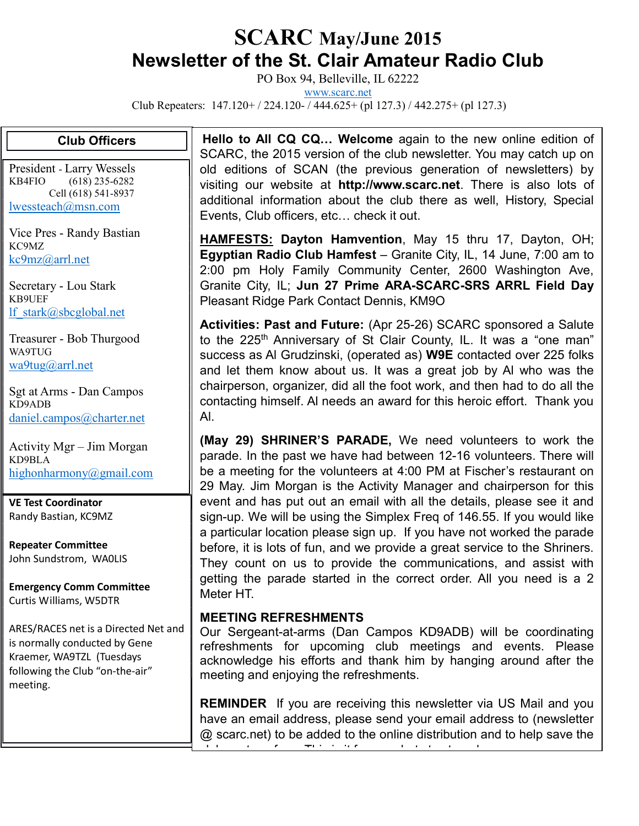## SCARC May/June 2015 Newsletter of the St. Clair Amateur Radio Club

PO Box 94, Belleville, IL 62222

www.scarc.net

Club Repeaters: 147.120+ / 224.120- / 444.625+ (pl 127.3) / 442.275+ (pl 127.3)

## Club Officers

President - Larry Wessels KB4FIO (618) 235-6282 Cell (618) 541-8937 lwessteach@msn.com

Vice Pres - Randy Bastian KC9MZ kc9mz@arrl.net

Secretary - Lou Stark KB9UEF lf\_stark@sbcglobal.net

Treasurer - Bob Thurgood WA9TUG wa9tug@arrl.net

Sgt at Arms - Dan Campos KD9ADB daniel.campos@charter.net

Activity Mgr – Jim Morgan KD9BLA highonharmony@gmail.com

VE Test Coordinator Randy Bastian, KC9MZ

Repeater Committee John Sundstrom, WA0LIS

Emergency Comm Committee Curtis Williams, W5DTR

ARES/RACES net is a Directed Net and is normally conducted by Gene Kraemer, WA9TZL (Tuesdays following the Club "on-the-air" meeting.

Hello to All CQ CQ... Welcome again to the new online edition of SCARC, the 2015 version of the club newsletter. You may catch up on old editions of SCAN (the previous generation of newsletters) by visiting our website at http://www.scarc.net. There is also lots of additional information about the club there as well, History, Special Events, Club officers, etc… check it out.

**HAMFESTS: Dayton Hamvention**, May 15 thru 17, Dayton, OH; Egyptian Radio Club Hamfest – Granite City, IL, 14 June, 7:00 am to 2:00 pm Holy Family Community Center, 2600 Washington Ave, Granite City, IL; Jun 27 Prime ARA-SCARC-SRS ARRL Field Day Pleasant Ridge Park Contact Dennis, KM9O

Activities: Past and Future: (Apr 25-26) SCARC sponsored a Salute to the 225<sup>th</sup> Anniversary of St Clair County, IL. It was a "one man" success as Al Grudzinski, (operated as) W9E contacted over 225 folks and let them know about us. It was a great job by Al who was the chairperson, organizer, did all the foot work, and then had to do all the contacting himself. Al needs an award for this heroic effort. Thank you Al.

(May 29) SHRINER'S PARADE, We need volunteers to work the parade. In the past we have had between 12-16 volunteers. There will be a meeting for the volunteers at 4:00 PM at Fischer's restaurant on 29 May. Jim Morgan is the Activity Manager and chairperson for this event and has put out an email with all the details, please see it and sign-up. We will be using the Simplex Freq of 146.55. If you would like a particular location please sign up. If you have not worked the parade before, it is lots of fun, and we provide a great service to the Shriners. They count on us to provide the communications, and assist with getting the parade started in the correct order. All you need is a 2 Meter HT.

## MEETING REFRESHMENTS

Our Sergeant-at-arms (Dan Campos KD9ADB) will be coordinating refreshments for upcoming club meetings and events. Please acknowledge his efforts and thank him by hanging around after the meeting and enjoying the refreshments.

**REMINDER** If you are receiving this newsletter via US Mail and you have an email address, please send your email address to (newsletter @ scarc.net) to be added to the online distribution and to help save the

club postage fees. This is it for now, but stay tuned.